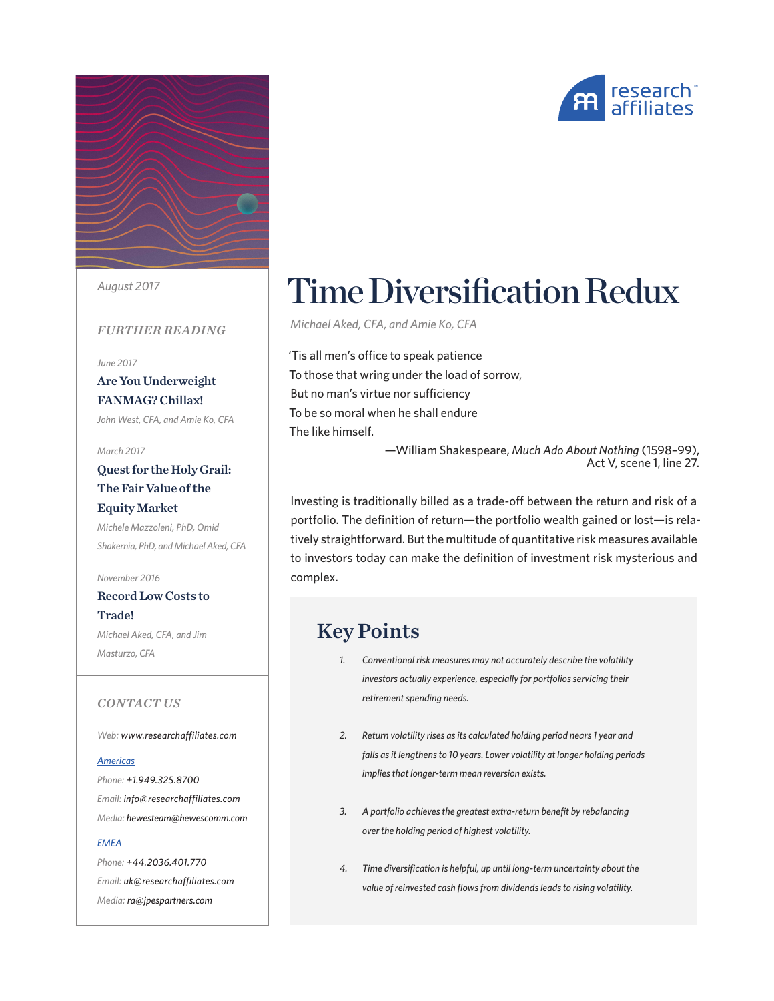



*August 2017*

#### *FURTHER READING*

*June 2017*

#### [Are You Underweight](https://www.researchaffiliates.com/content/ra/na/en_us/publications/articles/595-forecasting-factor-and-smart-beta-returns.html)  [FANMAG? Chillax!](https://www.researchaffiliates.com/content/ra/na/en_us/publications/articles/595-forecasting-factor-and-smart-beta-returns.html)

*[John West, CFA, and Amie Ko, CFA](https://www.researchaffiliates.com/content/ra/na/en_us/publications/articles/595-forecasting-factor-and-smart-beta-returns.html)*

#### *March [2017](https://www.researchaffiliates.com/content/ra/na/en_us/publications/articles/616-which-rafi-index-strategy-is-right-for-you.html)*

#### [Quest for the Holy Grail:](https://www.researchaffiliates.com/content/ra/na/en_us/publications/articles/616-which-rafi-index-strategy-is-right-for-you.html)  [The Fair Value of the](https://www.researchaffiliates.com/content/ra/na/en_us/publications/articles/616-which-rafi-index-strategy-is-right-for-you.html)  [Equity Market](https://www.researchaffiliates.com/content/ra/na/en_us/publications/articles/616-which-rafi-index-strategy-is-right-for-you.html) *[Michele Mazzoleni, PhD, Omid](https://www.researchaffiliates.com/content/ra/na/en_us/publications/articles/616-which-rafi-index-strategy-is-right-for-you.html)*

*[Shakernia, PhD, and Michael Aked](https://www.researchaffiliates.com/content/ra/na/en_us/publications/articles/616-which-rafi-index-strategy-is-right-for-you.html), CFA*

*November 2016* [Record Low Costs to](https://www.researchaffiliates.com/content/ra/na/en_us/publications/articles/616-which-rafi-index-strategy-is-right-for-you.html)  [Trade!](https://www.researchaffiliates.com/content/ra/na/en_us/publications/articles/616-which-rafi-index-strategy-is-right-for-you.html)

*[Michael Aked, CFA, and Jim](https://www.researchaffiliates.com/content/ra/na/en_us/publications/articles/616-which-rafi-index-strategy-is-right-for-you.html)  [Masturzo, CFA](https://www.researchaffiliates.com/content/ra/na/en_us/publications/articles/616-which-rafi-index-strategy-is-right-for-you.html)*

#### *CONTACT US*

*Web: www.researchaffiliates.com*

#### *Americas*

*Phone: +1.949.325.8700 Email: info@researchaffiliates.com Media: hewesteam@hewescomm.com*

#### *EMEA*

*Phone: +44.2036.401.770 Email: uk@researchaffiliates.com Media: ra@jpespartners.com*

# Time Diversification Redux

*Michael Aked, CFA, and Amie Ko, CFA*

'Tis all men's office to speak patience To those that wring under the load of sorrow, But no man's virtue nor sufficiency To be so moral when he shall endure The like himself.

—William Shakespeare, *Much Ado About Nothing* (1598–99), Act V, scene 1, line 27.

Investing is traditionally billed as a trade-off between the return and risk of a portfolio. The definition of return—the portfolio wealth gained or lost—is relatively straightforward. But the multitude of quantitative risk measures available to investors today can make the definition of investment risk mysterious and complex.

### Key Points

- *1. Conventional risk measures may not accurately describe the volatility investors actually experience, especially for portfolios servicing their retirement spending needs.*
- *2. Return volatility rises as its calculated holding period nears 1 year and falls as it lengthens to 10 years. Lower volatility at longer holding periods implies that longer-term mean reversion exists.*
- *3. A portfolio achieves the greatest extra-return benefit by rebalancing over the holding period of highest volatility.*
- *4. Time diversification is helpful, up until long-term uncertainty about the value of reinvested cash flows from dividends leads to rising volatility.*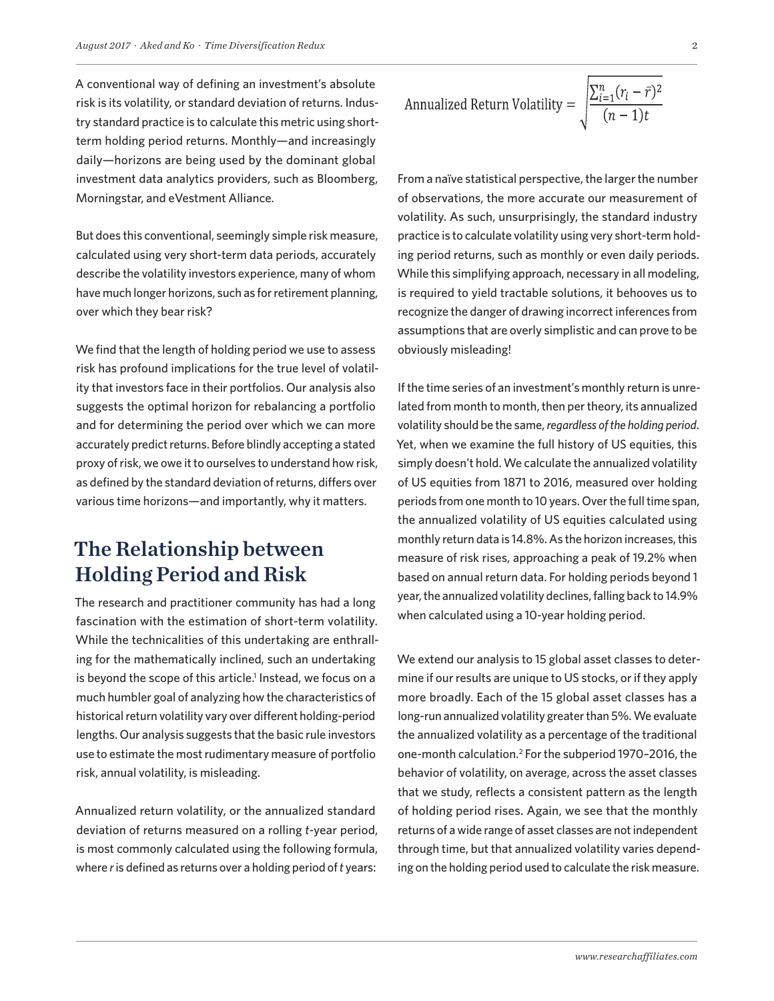A conventional way of defining an investment's absolute risk is its volatility, or standard deviation of returns. Industry standard practice is to calculate this metric using shortterm holding period returns. Monthly—and increasingly daily—horizons are being used by the dominant global investment data analytics providers, such as Bloomberg, Morningstar, and eVestment Alliance.

But does this conventional, seemingly simple risk measure, calculated using very short-term data periods, accurately describe the volatility investors experience, many of whom have much longer horizons, such as for retirement planning, over which they bear risk?

We find that the length of holding period we use to assess risk has profound implications for the true level of volatility that investors face in their portfolios. Our analysis also suggests the optimal horizon for rebalancing a portfolio and for determining the period over which we can more accurately predict returns. Before blindly accepting a stated proxy of risk, we owe it to ourselves to understand how risk, as defined by the standard deviation of returns, differs over various time horizons—and importantly, why it matters.

### The Relationship between Holding Period and Risk

The research and practitioner community has had a long fascination with the estimation of short-term volatility. While the technicalities of this undertaking are enthralling for the mathematically inclined, such an undertaking is beyond the scope of this article.<sup>1</sup> Instead, we focus on a much humbler goal of analyzing how the characteristics of historical return volatility vary over different holding-period lengths. Our analysis suggests that the basic rule investors use to estimate the most rudimentary measure of portfolio risk, annual volatility, is misleading.

Annualized return volatility, or the annualized standard deviation of returns measured on a rolling *t*-year period, is most commonly calculated using the following formula, where *r* is defined as returns over a holding period of *t* years:

Annualized Return Volatility = 
$$
\sqrt{\frac{\sum_{i=1}^{n} (r_i - \bar{r})^2}{(n-1)t}}
$$

From a naïve statistical perspective, the larger the number of observations, the more accurate our measurement of volatility. As such, unsurprisingly, the standard industry practice is to calculate volatility using very short-term holding period returns, such as monthly or even daily periods. While this simplifying approach, necessary in all modeling, is required to yield tractable solutions, it behooves us to recognize the danger of drawing incorrect inferences from assumptions that are overly simplistic and can prove to be obviously misleading!

If the time series of an investment's monthly return is unrelated from month to month, then per theory, its annualized volatility should be the same, *regardless of the holding period*. Yet, when we examine the full history of US equities, this simply doesn't hold. We calculate the annualized volatility of US equities from 1871 to 2016, measured over holding periods from one month to 10 years. Over the full time span, the annualized volatility of US equities calculated using monthly return data is 14.8%. As the horizon increases, this measure of risk rises, approaching a peak of 19.2% when based on annual return data. For holding periods beyond 1 year, the annualized volatility declines, falling back to 14.9% when calculated using a 10-year holding period.

We extend our analysis to 15 global asset classes to determine if our results are unique to US stocks, or if they apply more broadly. Each of the 15 global asset classes has a long-run annualized volatility greater than 5%. We evaluate the annualized volatility as a percentage of the traditional one-month calculation.2 For the subperiod 1970–2016, the behavior of volatility, on average, across the asset classes that we study, reflects a consistent pattern as the length of holding period rises. Again, we see that the monthly returns of a wide range of asset classes are not independent through time, but that annualized volatility varies depending on the holding period used to calculate the risk measure.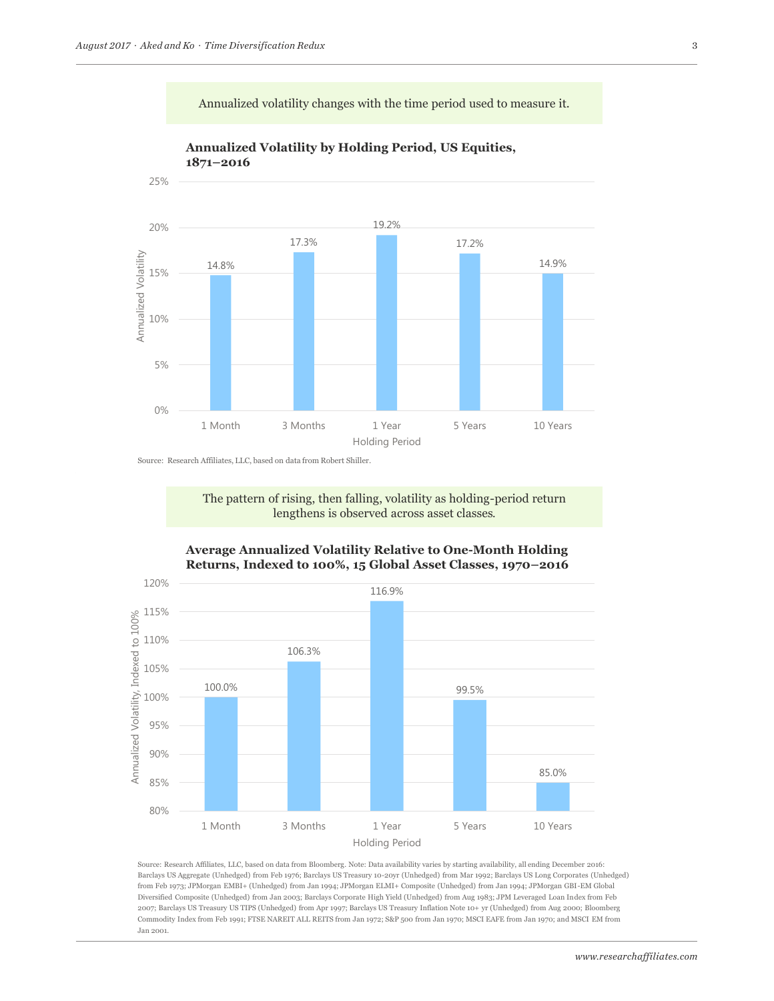Annualized volatility changes with the time period used to measure it.



**Annualized Volatility by Holding Period, US Equities, 1871–2016**

Source: Research Affiliates, LLC, based on data from Robert Shiller.

The pattern of rising, then falling, volatility as holding-period return **Example 18 Interventional School September 2018 September 2018 September 2018 September 2018 September 2018 September 2018 September 2018 September 2018 September 2018 September 2018 September 2018 September 2018 Septembe** 



**Average Annualized Volatility Relative to One-Month Holding Returns, Indexed to 100%, 15 Global Asset Classes, 1970–2016** 

Source: Research Affiliates, LLC, based on data from Bloomberg. Note: Data availability varies by starting availability, all ending December 2016: Barclays US Aggregate (Unhedged) from Feb 1976; Barclays US Treasury 10-20yr (Unhedged) from Mar 1992; Barclays US Long Corporates (Unhedged) from Feb 1973; JPMorgan EMBI+ (Unhedged) from Jan 1994; JPMorgan ELMI+ Composite (Unhedged) from Jan 1994; JPMorgan GBI-EM Global Diversified Composite (Unhedged) from Jan 2003; Barclays Corporate High Yield (Unhedged) from Aug 1983; JPM Leveraged Loan Index from Feb 2007; Barclays US Treasury US TIPS (Unhedged) from Apr 1997; Barclays US Treasury Inflation Note 10+ yr (Unhedged) from Aug 2000; Bloomberg Commodity Index from Feb 1991; FTSE NAREIT ALL REITS from Jan 1972; S&P 500 from Jan 1970; MSCI EAFE from Jan 1970; and MSCI EM from Jan 2001.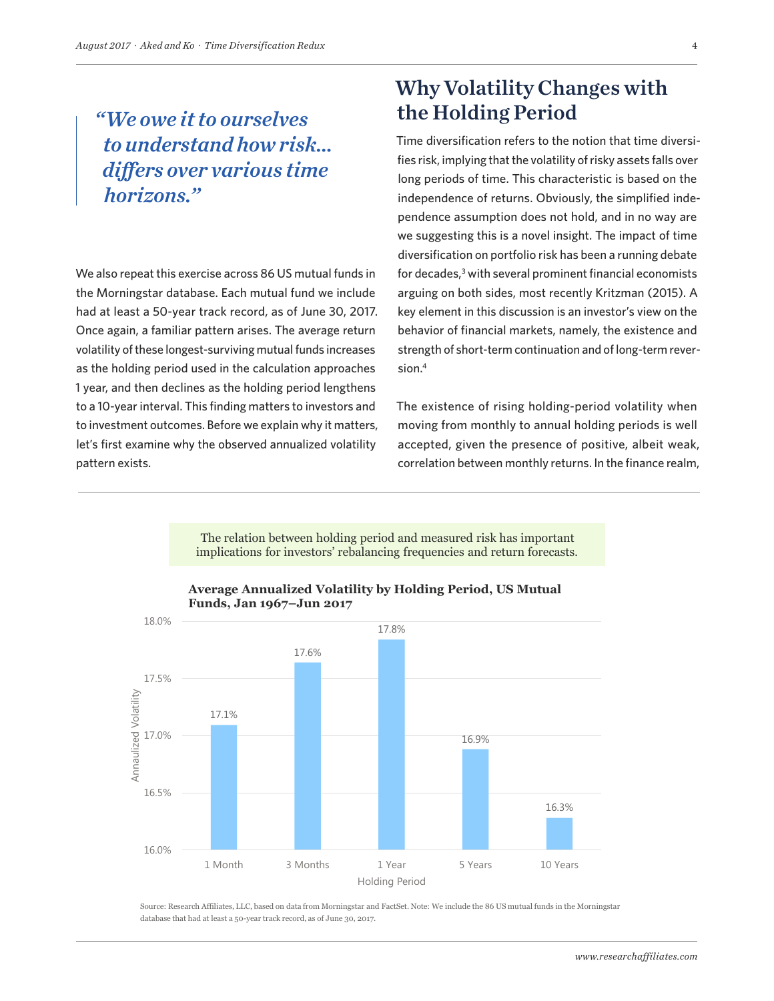# *"We owe it to ourselves to understand how risk… differs over various time horizons."*

We also repeat this exercise across 86 US mutual funds in the Morningstar database. Each mutual fund we include had at least a 50-year track record, as of June 30, 2017. Once again, a familiar pattern arises. The average return volatility of these longest-surviving mutual funds increases as the holding period used in the calculation approaches 1 year, and then declines as the holding period lengthens to a 10-year interval. This finding matters to investors and to investment outcomes. Before we explain why it matters, let's first examine why the observed annualized volatility pattern exists.

# Why Volatility Changes with the Holding Period

Time diversification refers to the notion that time diversifies risk, implying that the volatility of risky assets falls over long periods of time. This characteristic is based on the independence of returns. Obviously, the simplified independence assumption does not hold, and in no way are we suggesting this is a novel insight. The impact of time diversification on portfolio risk has been a running debate for decades,<sup>3</sup> with several prominent financial economists arguing on both sides, most recently Kritzman (2015). A key element in this discussion is an investor's view on the behavior of financial markets, namely, the existence and strength of short-term continuation and of long-term reversion.4

The existence of rising holding-period volatility when moving from monthly to annual holding periods is well accepted, given the presence of positive, albeit weak, correlation between monthly returns. In the finance realm,

implications for investors' rebalancing frequencies and return forecasts. The relation between holding period and measured risk has important



#### *-\$65* Actual **Funds, Jan 1967–Jun 2017Average Annualized Volatility by Holding Period, US Mutual**

Source: Research Affiliates, LLC, based on data from Morningstar and FactSet. Note: We include the 86 US mutual funds in the Morningstar database that had at least a 50-year track record, as of June 30, 2017.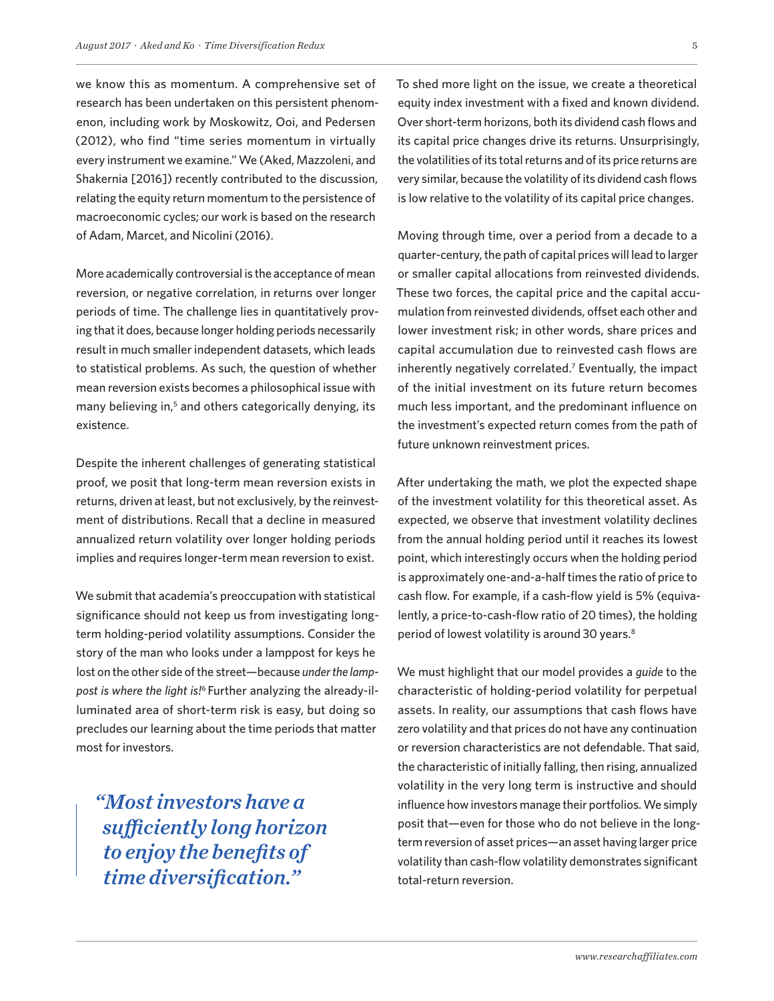we know this as momentum. A comprehensive set of research has been undertaken on this persistent phenomenon, including work by Moskowitz, Ooi, and Pedersen (2012), who find "time series momentum in virtually every instrument we examine." We (Aked, Mazzoleni, and Shakernia [2016]) recently contributed to the discussion, relating the equity return momentum to the persistence of macroeconomic cycles; our work is based on the research of Adam, Marcet, and Nicolini (2016).

More academically controversial is the acceptance of mean reversion, or negative correlation, in returns over longer periods of time. The challenge lies in quantitatively proving that it does, because longer holding periods necessarily result in much smaller independent datasets, which leads to statistical problems. As such, the question of whether mean reversion exists becomes a philosophical issue with many believing in,<sup>5</sup> and others categorically denying, its existence.

Despite the inherent challenges of generating statistical proof, we posit that long-term mean reversion exists in returns, driven at least, but not exclusively, by the reinvestment of distributions. Recall that a decline in measured annualized return volatility over longer holding periods implies and requires longer-term mean reversion to exist.

We submit that academia's preoccupation with statistical significance should not keep us from investigating longterm holding-period volatility assumptions. Consider the story of the man who looks under a lamppost for keys he lost on the other side of the street—because *under the lamppost is where the light is!*6 Further analyzing the already-illuminated area of short-term risk is easy, but doing so precludes our learning about the time periods that matter most for investors.

*"Most investors have a sufficiently long horizon to enjoy the benefits of time diversification."*

To shed more light on the issue, we create a theoretical equity index investment with a fixed and known dividend. Over short-term horizons, both its dividend cash flows and its capital price changes drive its returns. Unsurprisingly, the volatilities of its total returns and of its price returns are very similar, because the volatility of its dividend cash flows is low relative to the volatility of its capital price changes.

Moving through time, over a period from a decade to a quarter-century, the path of capital prices will lead to larger or smaller capital allocations from reinvested dividends. These two forces, the capital price and the capital accumulation from reinvested dividends, offset each other and lower investment risk; in other words, share prices and capital accumulation due to reinvested cash flows are inherently negatively correlated.7 Eventually, the impact of the initial investment on its future return becomes much less important, and the predominant influence on the investment's expected return comes from the path of future unknown reinvestment prices.

After undertaking the math, we plot the expected shape of the investment volatility for this theoretical asset. As expected, we observe that investment volatility declines from the annual holding period until it reaches its lowest point, which interestingly occurs when the holding period is approximately one-and-a-half times the ratio of price to cash flow. For example, if a cash-flow yield is 5% (equivalently, a price-to-cash-flow ratio of 20 times), the holding period of lowest volatility is around 30 years.<sup>8</sup>

We must highlight that our model provides a *guide* to the characteristic of holding-period volatility for perpetual assets. In reality, our assumptions that cash flows have zero volatility and that prices do not have any continuation or reversion characteristics are not defendable. That said, the characteristic of initially falling, then rising, annualized volatility in the very long term is instructive and should influence how investors manage their portfolios. We simply posit that—even for those who do not believe in the longterm reversion of asset prices—an asset having larger price volatility than cash-flow volatility demonstrates significant total-return reversion.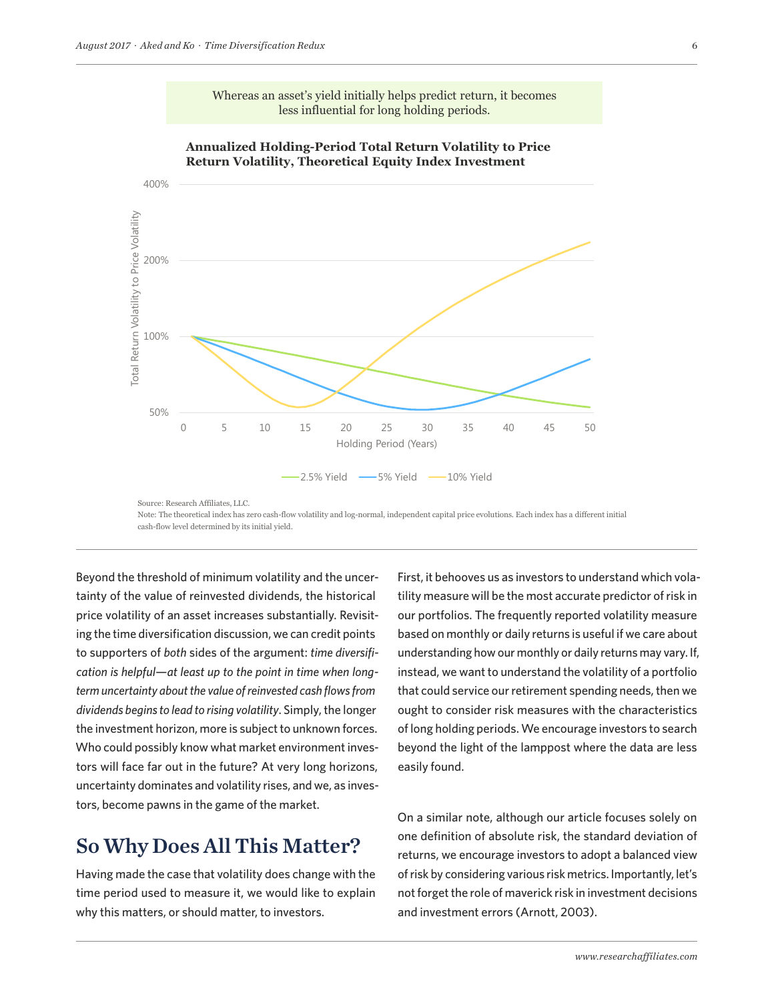

Whereas an asset's yield initially helps predict return, it becomes less influential for long holding periods.

Beyond the threshold of minimum volatility and the uncer-<br>First, it beh tainty of the value of reinvested dividends, the historical price volatility of an asset increases substantially. Revisiting the time diversification discussion, we can credit points to supporters of *both* sides of the argument: *time diversification is helpful—at least up to the point in time when longterm uncertainty about the value of reinvested cash flows from dividends begins to lead to rising volatility*. Simply, the longer the investment horizon, more is subject to unknown forces. Who could possibly know what market environment investors will face far out in the future? At very long horizons, uncertainty dominates and volatility rises, and we, as investors, become pawns in the game of the market.

### So Why Does All This Matter?

Having made the case that volatility does change with the time period used to measure it, we would like to explain why this matters, or should matter, to investors.

First, it behooves us as investors to understand which volatility measure will be the most accurate predictor of risk in our portfolios. The frequently reported volatility measure based on monthly or daily returns is useful if we care about understanding how our monthly or daily returns may vary. If, instead, we want to understand the volatility of a portfolio that could service our retirement spending needs, then we ought to consider risk measures with the characteristics of long holding periods. We encourage investors to search beyond the light of the lamppost where the data are less easily found.

On a similar note, although our article focuses solely on one definition of absolute risk, the standard deviation of returns, we encourage investors to adopt a balanced view of risk by considering various risk metrics. Importantly, let's not forget the role of maverick risk in investment decisions and investment errors (Arnott, 2003).

Source: Research Affiliates, LLC. Note: The theoretical index has zero cash-flow volatility and log-normal, independent capital price evolutions. Each index has a different initial cash-flow level determined by its initial yield.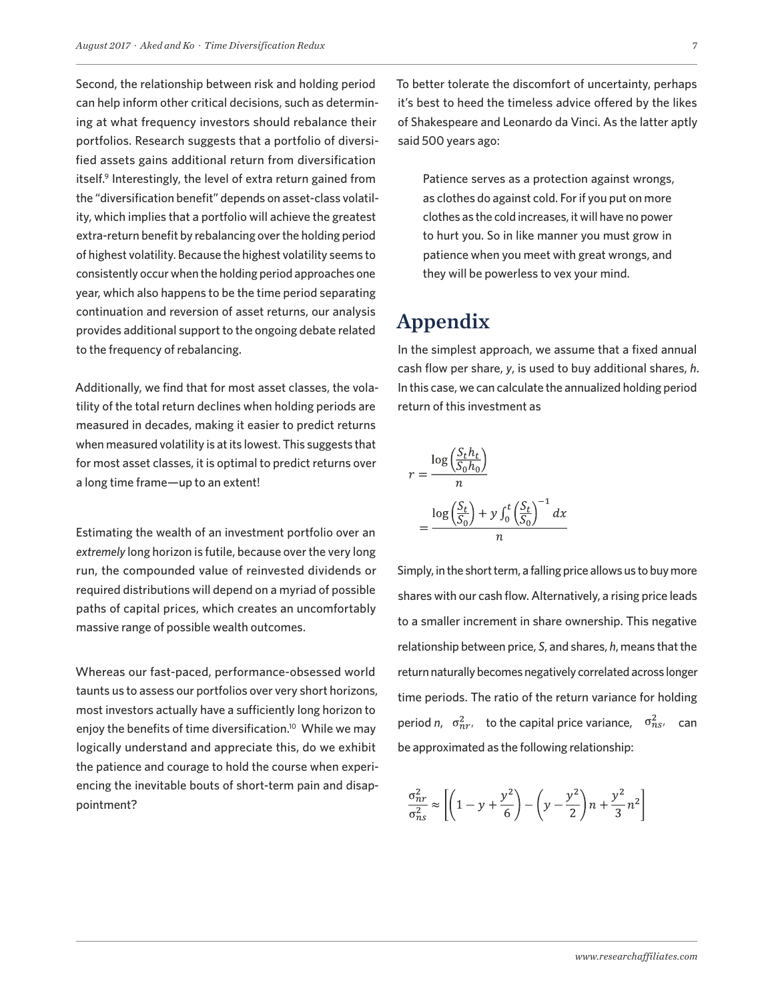Second, the relationship between risk and holding period can help inform other critical decisions, such as determining at what frequency investors should rebalance their portfolios. Research suggests that a portfolio of diversified assets gains additional return from diversification itself.<sup>9</sup> Interestingly, the level of extra return gained from the "diversification benefit" depends on asset-class volatility, which implies that a portfolio will achieve the greatest extra-return benefit by rebalancing over the holding period of highest volatility. Because the highest volatility seems to consistently occur when the holding period approaches one year, which also happens to be the time period separating continuation and reversion of asset returns, our analysis provides additional support to the ongoing debate related to the frequency of rebalancing.

Additionally, we find that for most asset classes, the volatility of the total return declines when holding periods are measured in decades, making it easier to predict returns when measured volatility is at its lowest. This suggests that for most asset classes, it is optimal to predict returns over a long time frame—up to an extent!

Estimating the wealth of an investment portfolio over an *extremely* long horizon is futile, because over the very long run, the compounded value of reinvested dividends or required distributions will depend on a myriad of possible paths of capital prices, which creates an uncomfortably massive range of possible wealth outcomes.

Whereas our fast-paced, performance-obsessed world taunts us to assess our portfolios over very short horizons, most investors actually have a sufficiently long horizon to enjoy the benefits of time diversification.<sup>10</sup> While we may logically understand and appreciate this, do we exhibit the patience and courage to hold the course when experiencing the inevitable bouts of short-term pain and disappointment?

To better tolerate the discomfort of uncertainty, perhaps it's best to heed the timeless advice offered by the likes of Shakespeare and Leonardo da Vinci. As the latter aptly said 500 years ago:

Patience serves as a protection against wrongs, as clothes do against cold. For if you put on more clothes as the cold increases, it will have no power to hurt you. So in like manner you must grow in patience when you meet with great wrongs, and they will be powerless to vex your mind.

### Appendix

In the simplest approach, we assume that a fixed annual cash flow per share, *y*, is used to buy additional shares, *h*. In this case, we can calculate the annualized holding period return of this investment as

$$
r = \frac{\log\left(\frac{S_t h_t}{S_0 h_0}\right)}{n}
$$

$$
= \frac{\log\left(\frac{S_t}{S_0}\right) + y \int_0^t \left(\frac{S_t}{S_0}\right)^{-1} dx}{n}
$$

Simply, in the short term, a falling price allows us to buy more shares with our cash flow. Alternatively, a rising price leads to a smaller increment in share ownership. This negative relationship between price, *S*, and shares, *h*, means that the return naturally becomes negatively correlated across longer time periods. The ratio of the return variance for holding period *n*,  $\sigma_{nr}^2$ , to the capital price variance,  $\sigma_{ns}^2$ , can be approximated as the following relationship:

$$
\frac{\sigma_{nr}^2}{\sigma_{ns}^2} \approx \left[ \left( 1 - y + \frac{y^2}{6} \right) - \left( y - \frac{y^2}{2} \right) n + \frac{y^2}{3} n^2 \right]
$$

*www.researchaffiliates.com*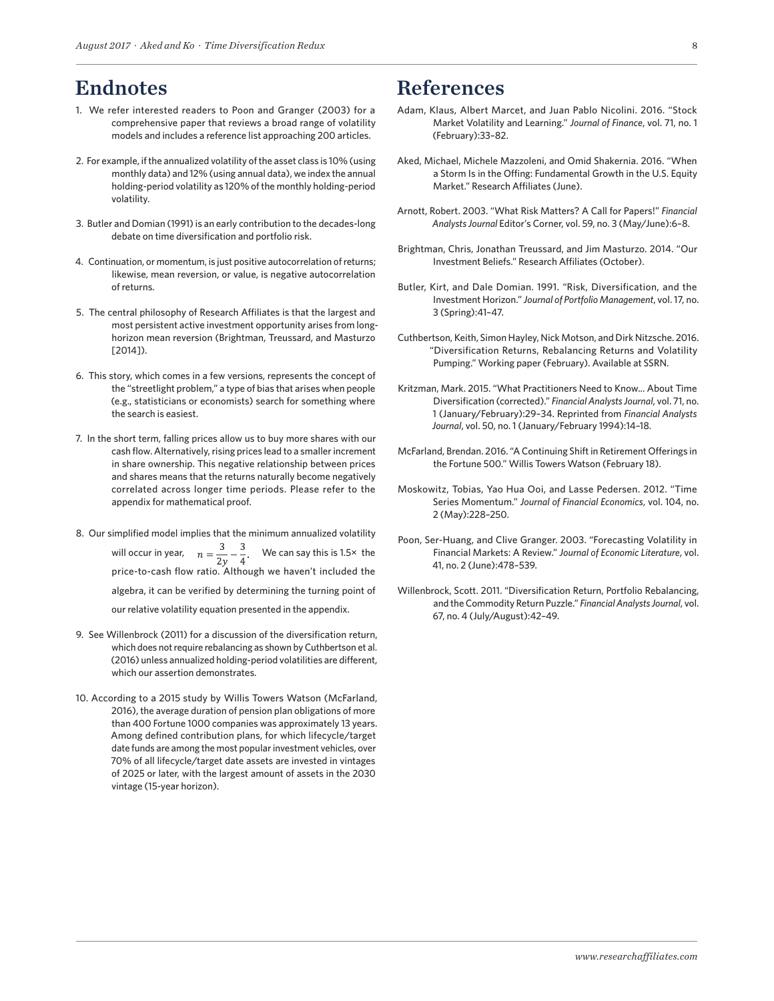### Endnotes

- 1. We refer interested readers to Poon and Granger (2003) for a comprehensive paper that reviews a broad range of volatility models and includes a reference list approaching 200 articles.
- 2. For example, if the annualized volatility of the asset class is 10% (using monthly data) and 12% (using annual data), we index the annual holding-period volatility as 120% of the monthly holding-period volatility.
- 3. Butler and Domian (1991) is an early contribution to the decades-long debate on time diversification and portfolio risk.
- 4. Continuation, or momentum, is just positive autocorrelation of returns; likewise, mean reversion, or value, is negative autocorrelation of returns.
- 5. The central philosophy of Research Affiliates is that the largest and most persistent active investment opportunity arises from longhorizon mean reversion (Brightman, Treussard, and Masturzo [2014]).
- 6. This story, which comes in a few versions, represents the concept of the "streetlight problem," a type of bias that arises when people (e.g., statisticians or economists) search for something where the search is easiest.
- 7. In the short term, falling prices allow us to buy more shares with our cash flow. Alternatively, rising prices lead to a smaller increment in share ownership. This negative relationship between prices and shares means that the returns naturally become negatively correlated across longer time periods. Please refer to the appendix for mathematical proof.
- 8. Our simplified model implies that the minimum annualized volatility will occur in year,  $n = \frac{3}{2y} - \frac{3}{4}$ . We can say this is 1.5× the price-to-cash flow ratio. Although we haven't included the algebra, it can be verified by determining the turning point of our relative volatility equation presented in the appendix.
- 9. See Willenbrock (2011) for a discussion of the diversification return, which does not require rebalancing as shown by Cuthbertson et al. (2016) unless annualized holding-period volatilities are different, which our assertion demonstrates.
- 10. According to a 2015 study by Willis Towers Watson (McFarland, 2016), the average duration of pension plan obligations of more than 400 Fortune 1000 companies was approximately 13 years. Among defined contribution plans, for which lifecycle/target date funds are among the most popular investment vehicles, over 70% of all lifecycle/target date assets are invested in vintages of 2025 or later, with the largest amount of assets in the 2030 vintage (15-year horizon).

#### References

- Adam, Klaus, Albert Marcet, and Juan Pablo Nicolini. 2016. "Stock Market Volatility and Learning." *Journal of Finance*, vol. 71, no. 1 (February):33–82.
- Aked, Michael, Michele Mazzoleni, and Omid Shakernia. 2016. "When a Storm Is in the Offing: Fundamental Growth in the U.S. Equity Market." Research Affiliates (June).
- Arnott, Robert. 2003. "What Risk Matters? A Call for Papers!" *Financial Analysts Journal* Editor's Corner, vol. 59, no. 3 (May/June):6–8.
- Brightman, Chris, Jonathan Treussard, and Jim Masturzo. 2014. "Our Investment Beliefs." Research Affiliates (October).
- Butler, Kirt, and Dale Domian. 1991. "Risk, Diversification, and the Investment Horizon." *Journal of Portfolio Management*, vol. 17, no. 3 (Spring):41–47.
- Cuthbertson, Keith, Simon Hayley, Nick Motson, and Dirk Nitzsche. 2016. "Diversification Returns, Rebalancing Returns and Volatility Pumping." Working paper (February). Available at SSRN.
- Kritzman, Mark. 2015. "What Practitioners Need to Know... About Time Diversification (corrected)." *Financial Analysts Journal*, vol. 71, no. 1 (January/February):29–34. Reprinted from *Financial Analysts Journal*, vol. 50, no. 1 (January/February 1994):14–18.
- McFarland, Brendan. 2016. "A Continuing Shift in Retirement Offerings in the Fortune 500." Willis Towers Watson (February 18).
- Moskowitz, Tobias, Yao Hua Ooi, and Lasse Pedersen. 2012. "Time Series Momentum." *Journal of Financial Economics*, vol. 104, no. 2 (May):228–250.
- Poon, Ser-Huang, and Clive Granger. 2003. "Forecasting Volatility in Financial Markets: A Review." *Journal of Economic Literature*, vol. 41, no. 2 (June):478–539.
- Willenbrock, Scott. 2011. "Diversification Return, Portfolio Rebalancing, and the Commodity Return Puzzle." *Financial Analysts Journal*, vol. 67, no. 4 (July/August):42–49.